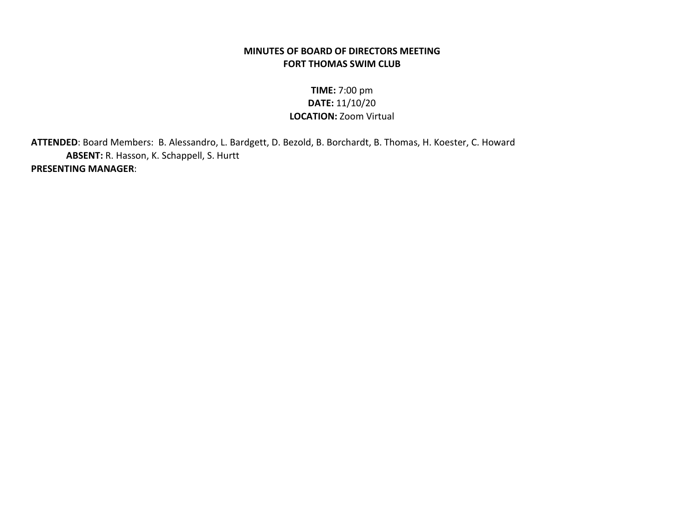## MINUTES OF BOARD OF DIRECTORS MEETING FORT THOMAS SWIM CLUB

## TIME: 7:00 pm DATE: 11/10/20 LOCATION: Zoom Virtual

 ATTENDED: Board Members: B. Alessandro, L. Bardgett, D. Bezold, B. Borchardt, B. Thomas, H. Koester, C. Howard ABSENT: R. Hasson, K. Schappell, S. Hurtt PRESENTING MANAGER: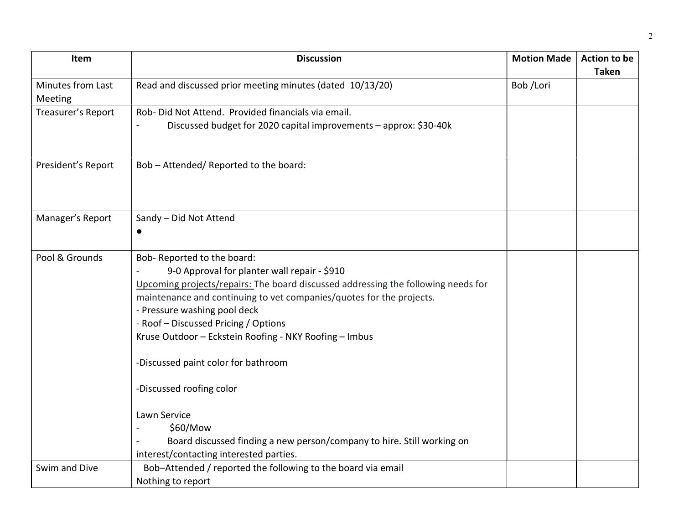| Item               | <b>Discussion</b>                                                                 | <b>Motion Made</b> | <b>Action to be</b> |
|--------------------|-----------------------------------------------------------------------------------|--------------------|---------------------|
|                    |                                                                                   |                    | <b>Taken</b>        |
| Minutes from Last  | Read and discussed prior meeting minutes (dated 10/13/20)                         | Bob /Lori          |                     |
| Meeting            |                                                                                   |                    |                     |
| Treasurer's Report | Rob- Did Not Attend. Provided financials via email.                               |                    |                     |
|                    | Discussed budget for 2020 capital improvements - approx: \$30-40k                 |                    |                     |
|                    |                                                                                   |                    |                     |
|                    |                                                                                   |                    |                     |
| President's Report | Bob - Attended/ Reported to the board:                                            |                    |                     |
|                    |                                                                                   |                    |                     |
|                    |                                                                                   |                    |                     |
|                    |                                                                                   |                    |                     |
| Manager's Report   | Sandy - Did Not Attend                                                            |                    |                     |
|                    | $\bullet$                                                                         |                    |                     |
|                    |                                                                                   |                    |                     |
| Pool & Grounds     | Bob- Reported to the board:                                                       |                    |                     |
|                    | 9-0 Approval for planter wall repair - \$910                                      |                    |                     |
|                    | Upcoming projects/repairs: The board discussed addressing the following needs for |                    |                     |
|                    | maintenance and continuing to vet companies/quotes for the projects.              |                    |                     |
|                    | - Pressure washing pool deck                                                      |                    |                     |
|                    | - Roof - Discussed Pricing / Options                                              |                    |                     |
|                    | Kruse Outdoor - Eckstein Roofing - NKY Roofing - Imbus                            |                    |                     |
|                    |                                                                                   |                    |                     |
|                    | -Discussed paint color for bathroom                                               |                    |                     |
|                    |                                                                                   |                    |                     |
|                    | -Discussed roofing color                                                          |                    |                     |
|                    | Lawn Service                                                                      |                    |                     |
|                    | \$60/Mow                                                                          |                    |                     |
|                    | Board discussed finding a new person/company to hire. Still working on            |                    |                     |
|                    | interest/contacting interested parties.                                           |                    |                     |
| Swim and Dive      | Bob-Attended / reported the following to the board via email                      |                    |                     |
|                    | Nothing to report                                                                 |                    |                     |
|                    |                                                                                   |                    |                     |